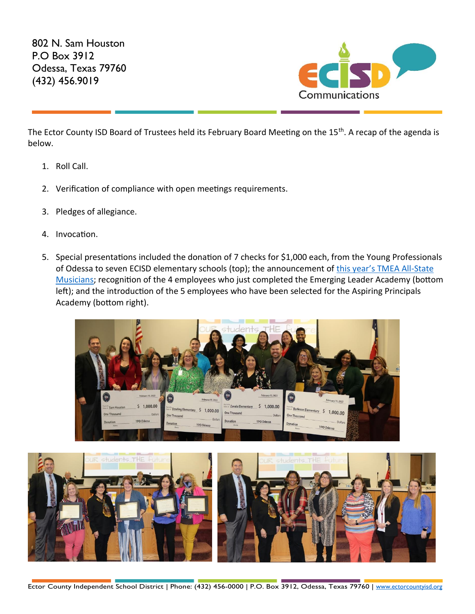802 N. Sam Houston P.O Box 3912 Odessa, Texas 79760 (432) 456.9019



The Ector County ISD Board of Trustees held its February Board Meeting on the 15<sup>th</sup>. A recap of the agenda is below.

- 1. Roll Call.
- 2. Verification of compliance with open meetings requirements.
- 3. Pledges of allegiance.
- 4. Invocation.
- 5. Special presentations included the donation of 7 checks for \$1,000 each, from the Young Professionals of Odessa to seven ECISD elementary schools (top); the announcement of this year's TMEA All-State [Musicians;](https://youtu.be/mCfvPnFhMak) recognition of the 4 employees who just completed the Emerging Leader Academy (bottom left); and the introduction of the 5 employees who have been selected for the Aspiring Principals Academy (bottom right).



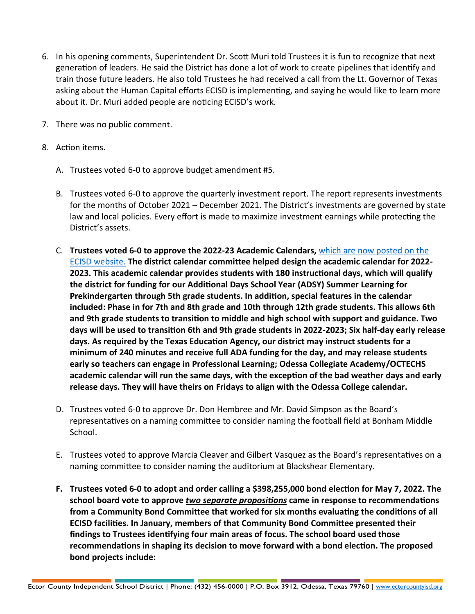- 6. In his opening comments, Superintendent Dr. Scott Muri told Trustees it is fun to recognize that next generation of leaders. He said the District has done a lot of work to create pipelines that identify and train those future leaders. He also told Trustees he had received a call from the Lt. Governor of Texas asking about the Human Capital efforts ECISD is implementing, and saying he would like to learn more about it. Dr. Muri added people are noticing ECISD's work.
- 7. There was no public comment.
- 8. Action items.
	- A. Trustees voted 6-0 to approve budget amendment #5.
	- B. Trustees voted 6-0 to approve the quarterly investment report. The report represents investments for the months of October 2021 – December 2021. The District's investments are governed by state law and local policies. Every effort is made to maximize investment earnings while protecting the District's assets.
	- C. **Trustees voted 6-0 to approve the 2022-23 Academic Calendars,** [which are now posted on the](https://www.ectorcountyisd.org/Page/2#calendar1/20220214/month)  [ECISD website.](https://www.ectorcountyisd.org/Page/2#calendar1/20220214/month) **The district calendar committee helped design the academic calendar for 2022- 2023. This academic calendar provides students with 180 instructional days, which will qualify the district for funding for our Additional Days School Year (ADSY) Summer Learning for Prekindergarten through 5th grade students. In addition, special features in the calendar included: Phase in for 7th and 8th grade and 10th through 12th grade students. This allows 6th and 9th grade students to transition to middle and high school with support and guidance. Two days will be used to transition 6th and 9th grade students in 2022-2023; Six half-day early release days. As required by the Texas Education Agency, our district may instruct students for a minimum of 240 minutes and receive full ADA funding for the day, and may release students early so teachers can engage in Professional Learning; Odessa Collegiate Academy/OCTECHS academic calendar will run the same days, with the exception of the bad weather days and early release days. They will have theirs on Fridays to align with the Odessa College calendar.**
	- D. Trustees voted 6-0 to approve Dr. Don Hembree and Mr. David Simpson as the Board's representatives on a naming committee to consider naming the football field at Bonham Middle School.
	- E. Trustees voted to approve Marcia Cleaver and Gilbert Vasquez as the Board's representatives on a naming committee to consider naming the auditorium at Blackshear Elementary.
	- **F. Trustees voted 6-0 to adopt and order calling a \$398,255,000 bond election for May 7, 2022. The school board vote to approve** *two separate propositions* **came in response to recommendations from a Community Bond Committee that worked for six months evaluating the conditions of all ECISD facilities. In January, members of that Community Bond Committee presented their findings to Trustees identifying four main areas of focus. The school board used those recommendations in shaping its decision to move forward with a bond election. The proposed bond projects include:**